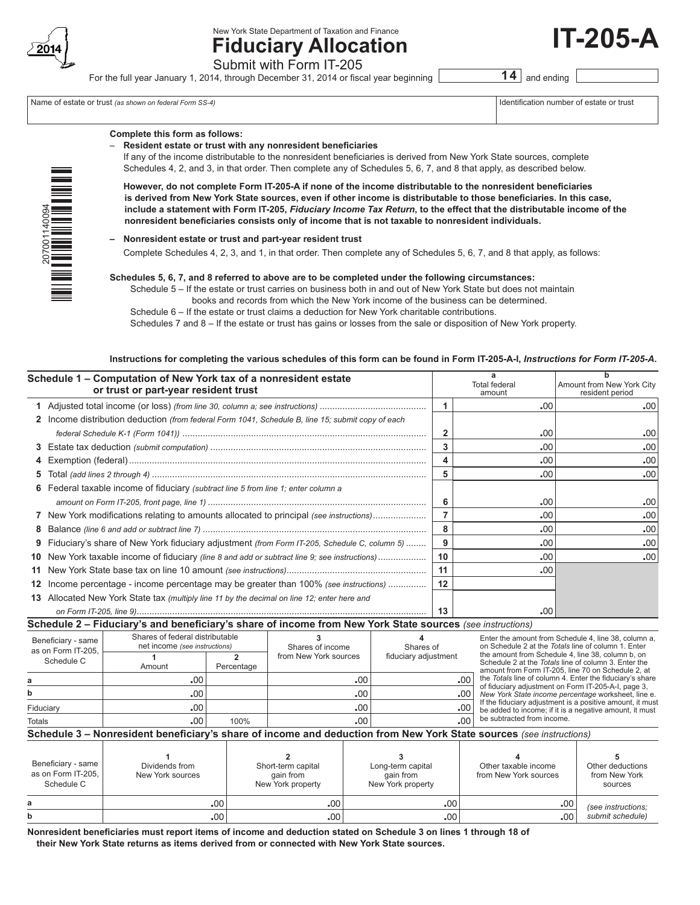

New York State Department of Taxation and Finance

# **Fiduciary Allocation** Submit with Form IT-205

For the full year January 1, 2014, through December 31, 2014 or fiscal year beginning **14** and ending

Name of estate or trust *(as shown on federal Form SS-4)* 

| identification number of estate or trus |  |  |  |
|-----------------------------------------|--|--|--|
|                                         |  |  |  |

**IT-205-A**

| zoo |  |
|-----|--|
| ٦   |  |
| ć   |  |
| ċ   |  |
|     |  |
|     |  |

## **Complete this form as follows:**

– **Resident estate or trust with any nonresident beneficiaries**

 If any of the income distributable to the nonresident beneficiaries is derived from New York State sources, complete Schedules 4, 2, and 3, in that order. Then complete any of Schedules 5, 6, 7, and 8 that apply, as described below.

**However, do not complete Form IT-205-A if none of the income distributable to the nonresident beneficiaries is derived from New York State sources, even if other income is distributable to those beneficiaries. In this case, include a statement with Form IT-205,** *Fiduciary Income Tax Return***, to the effect that the distributable income of the nonresident beneficiaries consists only of income that is not taxable to nonresident individuals.**

## **– Nonresident estate or trust and part-year resident trust**

Complete Schedules 4, 2, 3, and 1, in that order. Then complete any of Schedules 5, 6, 7, and 8 that apply, as follows:

#### **Schedules 5, 6, 7, and 8 referred to above are to be completed under the following circumstances:**

Schedule 5 – If the estate or trust carries on business both in and out of New York State but does not maintain books and records from which the New York income of the business can be determined.

 Schedule 6 – If the estate or trust claims a deduction for New York charitable contributions.

 Schedules 7 and 8 – If the estate or trust has gains or losses from the sale or disposition of New York property.

#### **Instructions for completing the various schedules of this form can be found in Form IT-205-A-I,** *Instructions for Form IT‑205‑A***.**

|    | Schedule 1 - Computation of New York tax of a nonresident estate<br>or trust or part-year resident trust |    | Total federal<br>amount | Amount from New York City<br>resident period |
|----|----------------------------------------------------------------------------------------------------------|----|-------------------------|----------------------------------------------|
|    |                                                                                                          |    | .00                     | .00.                                         |
|    | 2 Income distribution deduction (from federal Form 1041, Schedule B, line 15; submit copy of each        |    |                         |                                              |
|    |                                                                                                          | 2  | .00                     | .00                                          |
|    |                                                                                                          | 3  | .00                     | .00                                          |
|    |                                                                                                          | 4  | .00                     | .00                                          |
| 5. |                                                                                                          | 5  | .00                     | .00                                          |
|    | 6 Federal taxable income of fiduciary (subtract line 5 from line 1; enter column a                       |    |                         |                                              |
|    |                                                                                                          | 6  | .00                     | .00                                          |
|    | 7 New York modifications relating to amounts allocated to principal (see instructions)                   |    | .00                     | .00                                          |
| 8  |                                                                                                          | 8  | .00                     | .00                                          |
| 9  | Fiduciary's share of New York fiduciary adjustment <i>(from Form IT-205, Schedule C, column 5) </i>      | 9  | .00                     | .00                                          |
|    | 10 New York taxable income of fiduciary (line 8 and add or subtract line 9; see instructions)            | 10 | .00                     | .00                                          |
|    |                                                                                                          | 11 | .00                     |                                              |
|    | 12 Income percentage - income percentage may be greater than 100% (see instructions)                     | 12 |                         |                                              |
|    | 13 Allocated New York State tax (multiply line 11 by the decimal on line 12; enter here and              |    |                         |                                              |
|    |                                                                                                          | 13 | .00                     |                                              |

**Schedule 2 – Fiduciary's and beneficiary's share of income from New York State sources** *(see instructions)*

| Beneficiary - same<br>as on Form IT-205.<br>Schedule C                                                              | Shares of federal distributable<br>net income (see instructions) |            | Shares of income      | Shares of            | Enter the amount from Schedule 4, line 38, column a.<br>on Schedule 2 at the Totals line of column 1. Enter                                                     |  |  |  |  |  |  |
|---------------------------------------------------------------------------------------------------------------------|------------------------------------------------------------------|------------|-----------------------|----------------------|-----------------------------------------------------------------------------------------------------------------------------------------------------------------|--|--|--|--|--|--|
|                                                                                                                     | Amount                                                           | Percentage | from New York sources | fiduciary adjustment | the amount from Schedule 4, line 38, column b, on<br>Schedule 2 at the Totals line of column 3. Enter the<br>amount from Form IT-205, line 70 on Schedule 2, at |  |  |  |  |  |  |
| а                                                                                                                   | .00.                                                             |            | .00                   | .00 <sub>1</sub>     | the Totals line of column 4. Enter the fiduciary's share<br>of fiduciary adjustment on Form IT-205-A-I, page 3,                                                 |  |  |  |  |  |  |
| b                                                                                                                   | .00.                                                             |            | .00                   |                      | .00 New York State income percentage worksheet, line e.                                                                                                         |  |  |  |  |  |  |
| Fiduciary                                                                                                           | .00.                                                             |            | .00                   | .00 <sub>1</sub>     | If the fiduciary adjustment is a positive amount, it must<br>be added to income; if it is a negative amount, it must                                            |  |  |  |  |  |  |
| <b>Totals</b>                                                                                                       | .00.                                                             | 100%       | .00.                  | .nn l                | be subtracted from income.                                                                                                                                      |  |  |  |  |  |  |
| Schedule 3 – Nonresident beneficiary's share of income and deduction from New York State sources (see instructions) |                                                                  |            |                       |                      |                                                                                                                                                                 |  |  |  |  |  |  |

| Beneficiary - same<br>as on Form IT-205.<br>Schedule C | Dividends from<br>New York sources | Short-term capital<br>gain from<br>New York property | Long-term capital<br>gain from<br>New York property | Other taxable income<br>from New York sources | Other deductions<br>from New York<br>sources |
|--------------------------------------------------------|------------------------------------|------------------------------------------------------|-----------------------------------------------------|-----------------------------------------------|----------------------------------------------|
| a                                                      | .00.                               | $.00^{\degree}$                                      | .00 <sup>1</sup>                                    | .00 <sub>1</sub>                              | (see instructions;                           |
| b                                                      | .00.                               | .00                                                  | .00 <sup>1</sup>                                    | .00                                           | submit schedule)                             |

**Nonresident beneficiaries must report items of income and deduction stated on Schedule 3 on lines 1 through 18 of their New York State returns as items derived from or connected with New York State sources.**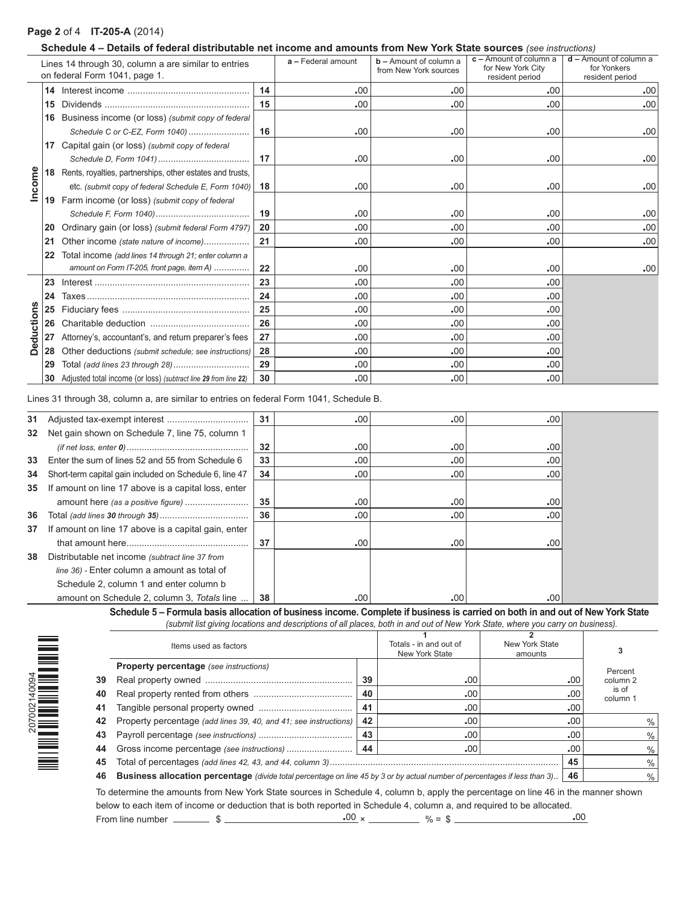# **Page 2** of 4 **IT-205-A** (2014)

## **Schedule 4 – Details of federal distributable net income and amounts from New York State sources** *(see instructions)*

|                   |    | Lines 14 through 30, column a are similar to entries<br>on federal Form 1041, page 1. |    | a - Federal amount | $b -$ Amount of column a<br>from New York sources | $c -$ Amount of column a<br>for New York City<br>resident period | $d -$ Amount of column a<br>for Yonkers<br>resident period |
|-------------------|----|---------------------------------------------------------------------------------------|----|--------------------|---------------------------------------------------|------------------------------------------------------------------|------------------------------------------------------------|
|                   |    |                                                                                       | 14 | .00                | .00                                               | .00                                                              | .00                                                        |
|                   | 15 |                                                                                       | 15 | .00                | .00                                               | .00                                                              | .00                                                        |
|                   | 16 | Business income (or loss) (submit copy of federal                                     |    |                    |                                                   |                                                                  |                                                            |
|                   |    | Schedule C or C-EZ, Form 1040)                                                        | 16 | .00                | .00                                               | .00                                                              | .00                                                        |
|                   |    | 17 Capital gain (or loss) (submit copy of federal                                     |    |                    |                                                   |                                                                  |                                                            |
|                   |    |                                                                                       | 17 | .00                | .00                                               | .00                                                              | .00                                                        |
|                   |    | 18 Rents, royalties, partnerships, other estates and trusts,                          |    |                    |                                                   |                                                                  |                                                            |
| Income            |    | etc. (submit copy of federal Schedule E, Form 1040)                                   | 18 | .00                | .00                                               | .00                                                              | .00                                                        |
|                   |    | <b>19</b> Farm income (or loss) (submit copy of federal                               |    |                    |                                                   |                                                                  |                                                            |
|                   |    |                                                                                       | 19 | .00                | .00                                               | .00                                                              | .00                                                        |
|                   | 20 | Ordinary gain (or loss) (submit federal Form 4797)                                    | 20 | .00                | .00                                               | .00                                                              | .00                                                        |
|                   | 21 | Other income (state nature of income)                                                 | 21 | .00                | .00                                               | .00                                                              | .00                                                        |
|                   | 22 | Total income (add lines 14 through 21; enter column a                                 |    |                    |                                                   |                                                                  |                                                            |
|                   |    | amount on Form IT-205, front page, item A)                                            | 22 | .00                | .00                                               | .00                                                              | .00                                                        |
|                   | 23 |                                                                                       | 23 | .00                | .00                                               | .00                                                              |                                                            |
|                   | 24 |                                                                                       | 24 | .00                | .00                                               | .00                                                              |                                                            |
|                   |    |                                                                                       | 25 | .00                | .00                                               | .00                                                              |                                                            |
|                   |    |                                                                                       | 26 | .00                | .00                                               | .00                                                              |                                                            |
| <b>Deductions</b> |    | 27 Attorney's, accountant's, and return preparer's fees                               | 27 | .00                | .00                                               | .00                                                              |                                                            |
|                   |    | 28 Other deductions (submit schedule; see instructions)                               | 28 | .00                | .00                                               | .00                                                              |                                                            |
|                   | 29 |                                                                                       | 29 | .00                | .00                                               | .00                                                              |                                                            |
|                   |    | 30 Adjusted total income (or loss) (subtract line 29 from line 22)                    | 30 | .00                | .00                                               | .00                                                              |                                                            |

Lines 31 through 38, column a, are similar to entries on federal Form 1041, Schedule B.

| 31 |                                                         | 31 | .00 | .00 | .00 |
|----|---------------------------------------------------------|----|-----|-----|-----|
| 32 | Net gain shown on Schedule 7, line 75, column 1         |    |     |     |     |
|    |                                                         | 32 | .00 | .00 | .00 |
| 33 | Enter the sum of lines 52 and 55 from Schedule 6        | 33 | .00 | .00 | .00 |
| 34 | Short-term capital gain included on Schedule 6, line 47 | 34 | .00 | .00 | .00 |
| 35 | If amount on line 17 above is a capital loss, enter     |    |     |     |     |
|    | amount here (as a positive figure)                      | 35 | .00 | .00 | .00 |
| 36 |                                                         | 36 | .00 | .00 | .00 |
| 37 | If amount on line 17 above is a capital gain, enter     |    |     |     |     |
|    |                                                         | 37 | .00 | .00 | .00 |
| 38 | Distributable net income (subtract line 37 from         |    |     |     |     |
|    | line 36) - Enter column a amount as total of            |    |     |     |     |
|    | Schedule 2, column 1 and enter column b                 |    |     |     |     |
|    | amount on Schedule 2, column 3, Totals line             | 38 | .00 | .00 | .00 |

**Schedule 5 – Formula basis allocation of business income. Complete if business is carried on both in and out of New York State** *(submit list giving locations and descriptions of all places, both in and out of New York State, where you carry on business).*

|    | Items used as factors                                                                                                             |    | Totals - in and out of<br>New York State | New York State<br>amounts |     |                   |
|----|-----------------------------------------------------------------------------------------------------------------------------------|----|------------------------------------------|---------------------------|-----|-------------------|
|    | <b>Property percentage</b> (see instructions)                                                                                     |    |                                          |                           |     | Percent           |
| 39 |                                                                                                                                   | 39 | .00                                      |                           | .00 | column 2          |
| 40 |                                                                                                                                   | 40 | .00                                      |                           | .00 | is of<br>column 1 |
| 41 |                                                                                                                                   | 41 | .00                                      |                           | .00 |                   |
| 42 | Property percentage (add lines 39, 40, and 41; see instructions)                                                                  | 42 | .00                                      |                           | .00 |                   |
| 43 |                                                                                                                                   | 43 | .00.                                     |                           | .00 | $\%$              |
| 44 |                                                                                                                                   | 44 | .00                                      |                           | .00 | %                 |
| 45 |                                                                                                                                   |    |                                          |                           | 45  | $\frac{0}{0}$     |
| 46 | <b>Business allocation percentage</b> (divide total percentage on line 45 by 3 or by actual number of percentages if less than 3) |    |                                          |                           | 46  | $\%$              |

To determine the amounts from New York State sources in Schedule 4, column b, apply the percentage on line 46 in the manner shown below to each item of income or deduction that is both reported in Schedule 4, column a, and required to be allocated. From line number  $\frac{100}{2} \times \frac{00}{2} \times \frac{00}{2} \times \frac{00}{2} \times \frac{00}{2} \times \frac{00}{2} \times \frac{00}{2} \times \frac{00}{2} \times \frac{00}{2} \times \frac{00}{2} \times \frac{00}{2} \times \frac{00}{2} \times \frac{00}{2} \times \frac{00}{2} \times \frac{00}{2} \times \frac{00}{2} \times \frac{00}{2} \times \frac{00}{2} \times \frac{00}{2} \times \frac{00}{2} \times \frac$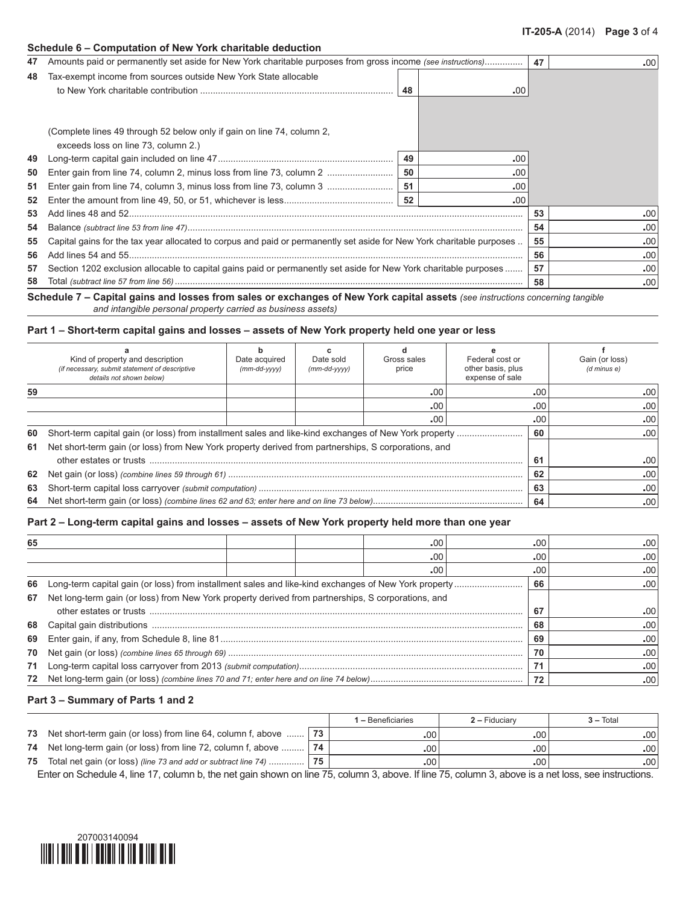#### **Schedule 6 – Computation of New York charitable deduction**

| 47 | Amounts paid or permanently set aside for New York charitable purposes from gross income (see instructions)           |    |     | 47 | .00. |
|----|-----------------------------------------------------------------------------------------------------------------------|----|-----|----|------|
|    |                                                                                                                       |    |     |    |      |
| 48 | Tax-exempt income from sources outside New York State allocable                                                       |    |     |    |      |
|    |                                                                                                                       | 48 | .00 |    |      |
|    |                                                                                                                       |    |     |    |      |
|    |                                                                                                                       |    |     |    |      |
|    | (Complete lines 49 through 52 below only if gain on line 74, column 2,                                                |    |     |    |      |
|    | exceeds loss on line 73, column 2.)                                                                                   |    |     |    |      |
| 49 |                                                                                                                       | 49 | .00 |    |      |
| 50 |                                                                                                                       | 50 | .00 |    |      |
|    |                                                                                                                       |    |     |    |      |
| 51 |                                                                                                                       | 51 | .00 |    |      |
| 52 |                                                                                                                       |    | .00 |    |      |
| 53 |                                                                                                                       |    |     | 53 | .00  |
| 54 |                                                                                                                       |    |     | 54 | .00  |
| 55 | Capital gains for the tax year allocated to corpus and paid or permanently set aside for New York charitable purposes |    |     | 55 | .00  |
| 56 |                                                                                                                       |    |     | 56 | .00  |
| 57 | Section 1202 exclusion allocable to capital gains paid or permanently set aside for New York charitable purposes      |    |     | 57 | .00  |
| 58 |                                                                                                                       |    |     | 58 | .00. |

**Schedule 7 – Capital gains and losses from sales or exchanges of New York capital assets** *(see instructions concerning tangible and intangible personal property carried as business assets)*

### **Part 1 – Short-term capital gains and losses – assets of New York property held one year or less**

|    | Kind of property and description<br>(if necessary, submit statement of descriptive<br>details not shown below) | Date acquired<br>$(mm$ -dd- $vyyy)$ | Date sold<br>$(mm$ -dd- $vyyy)$ | Gross sales<br>price | Federal cost or<br>other basis, plus<br>expense of sale |     | Gain (or loss)<br>(d minus e) |
|----|----------------------------------------------------------------------------------------------------------------|-------------------------------------|---------------------------------|----------------------|---------------------------------------------------------|-----|-------------------------------|
| 59 |                                                                                                                |                                     |                                 | .00                  |                                                         | .00 | .00                           |
|    |                                                                                                                |                                     |                                 | .00                  |                                                         | .00 | .00                           |
|    |                                                                                                                |                                     |                                 | .00                  |                                                         | .00 | .00                           |
| 60 |                                                                                                                |                                     |                                 |                      |                                                         | 60  | .00                           |
| 61 | Net short-term gain (or loss) from New York property derived from partnerships, S corporations, and            |                                     |                                 |                      |                                                         |     |                               |
|    |                                                                                                                |                                     |                                 |                      |                                                         | 61  | .00                           |
| 62 |                                                                                                                |                                     |                                 |                      |                                                         | 62  | .00                           |
| 63 |                                                                                                                |                                     |                                 |                      |                                                         |     | .00                           |
| 64 |                                                                                                                |                                     |                                 |                      |                                                         | 64  | .00                           |

### **Part 2 – Long-term capital gains and losses – assets of New York property held more than one year**

| 65 |                                                                                                    |    | .00 |     | .00 | .00           |
|----|----------------------------------------------------------------------------------------------------|----|-----|-----|-----|---------------|
|    |                                                                                                    |    | .00 | .00 |     | .00           |
|    |                                                                                                    |    | .00 |     | .00 | $.00^{\circ}$ |
| 66 |                                                                                                    |    |     | 66  |     | -00           |
| 67 | Net long-term gain (or loss) from New York property derived from partnerships, S corporations, and |    |     |     |     |               |
|    |                                                                                                    |    |     | 67  |     | -00           |
|    |                                                                                                    |    |     | 68  |     | .00           |
| 69 |                                                                                                    |    |     | 69  |     | .00           |
|    |                                                                                                    | 70 |     | .00 |     |               |
|    |                                                                                                    | 71 |     | .00 |     |               |
|    |                                                                                                    |    |     | 72  |     | .00           |

#### **Part 3 – Summary of Parts 1 and 2**

|    |                                                                    |    | <b>1 –</b> Beneficiaries | $2 -$ Fiduciary | $3 - Total$      |
|----|--------------------------------------------------------------------|----|--------------------------|-----------------|------------------|
| 73 | Net short-term gain (or loss) from line 64, column f, above  73    |    | .00                      | .00             | .00 <sup>1</sup> |
|    | 74 Net long-term gain (or loss) from line 72, column f, above  74  |    | .00                      | .00             | .00 <sup>1</sup> |
| 75 | Total net gain (or loss) (line 73 and add or subtract line 74)  75 |    | -00                      | .00             | .00 <sup>1</sup> |
|    |                                                                    | -- | $\cdots$<br>$\sim$       | $- -$           |                  |

Enter on Schedule 4, line 17, column b, the net gain shown on line 75, column 3, above. If line 75, column 3, above is a net loss, see instructions.